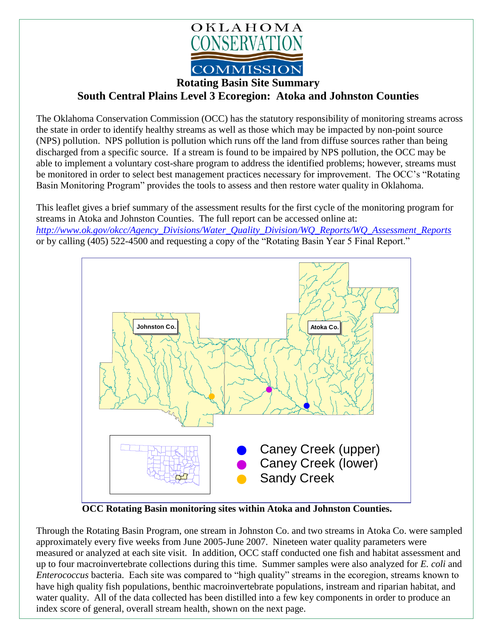

**Rotating Basin Site Summary**

## **South Central Plains Level 3 Ecoregion: Atoka and Johnston Counties**

The Oklahoma Conservation Commission (OCC) has the statutory responsibility of monitoring streams across the state in order to identify healthy streams as well as those which may be impacted by non-point source (NPS) pollution. NPS pollution is pollution which runs off the land from diffuse sources rather than being discharged from a specific source. If a stream is found to be impaired by NPS pollution, the OCC may be able to implement a voluntary cost-share program to address the identified problems; however, streams must be monitored in order to select best management practices necessary for improvement. The OCC's "Rotating Basin Monitoring Program" provides the tools to assess and then restore water quality in Oklahoma.

This leaflet gives a brief summary of the assessment results for the first cycle of the monitoring program for streams in Atoka and Johnston Counties. The full report can be accessed online at: *[http://www.ok.gov/okcc/Agency\\_Divisions/Water\\_Quality\\_Division/WQ\\_Reports/WQ\\_Assessment\\_Reports](http://www.ok.gov/okcc/Agency_Divisions/Water_Quality_Division/WQ_Reports/WQ_Assessment_Reports)* or by calling (405) 522-4500 and requesting a copy of the "Rotating Basin Year 5 Final Report."



 **OCC Rotating Basin monitoring sites within Atoka and Johnston Counties.**

Through the Rotating Basin Program, one stream in Johnston Co. and two streams in Atoka Co. were sampled approximately every five weeks from June 2005-June 2007. Nineteen water quality parameters were measured or analyzed at each site visit. In addition, OCC staff conducted one fish and habitat assessment and up to four macroinvertebrate collections during this time. Summer samples were also analyzed for *E. coli* and *Enterococcus* bacteria. Each site was compared to "high quality" streams in the ecoregion, streams known to have high quality fish populations, benthic macroinvertebrate populations, instream and riparian habitat, and water quality. All of the data collected has been distilled into a few key components in order to produce an index score of general, overall stream health, shown on the next page.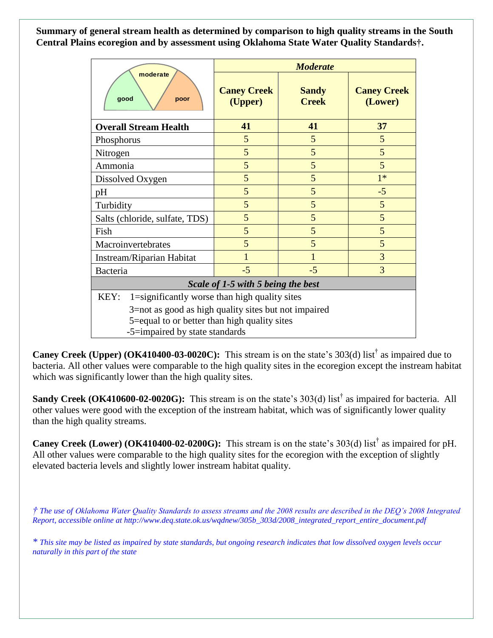**Summary of general stream health as determined by comparison to high quality streams in the South Central Plains ecoregion and by assessment using Oklahoma State Water Quality Standards†.**

| moderate<br>good<br>poor                                                                                                                                      | <b>Moderate</b>               |                              |                               |
|---------------------------------------------------------------------------------------------------------------------------------------------------------------|-------------------------------|------------------------------|-------------------------------|
|                                                                                                                                                               | <b>Caney Creek</b><br>(Upper) | <b>Sandy</b><br><b>Creek</b> | <b>Caney Creek</b><br>(Lower) |
| <b>Overall Stream Health</b>                                                                                                                                  | 41                            | 41                           | 37                            |
| Phosphorus                                                                                                                                                    | 5                             | 5                            | 5                             |
| Nitrogen                                                                                                                                                      | 5                             | 5                            | 5                             |
| Ammonia                                                                                                                                                       | 5                             | 5                            | 5                             |
| Dissolved Oxygen                                                                                                                                              | 5                             | 5                            | $1*$                          |
| pH                                                                                                                                                            | 5                             | 5                            | $-5$                          |
| Turbidity                                                                                                                                                     | 5                             | 5                            | 5                             |
| Salts (chloride, sulfate, TDS)                                                                                                                                | 5                             | 5                            | 5                             |
| Fish                                                                                                                                                          | 5                             | 5                            | 5                             |
| Macroinvertebrates                                                                                                                                            | 5                             | 5                            | 5                             |
| Instream/Riparian Habitat                                                                                                                                     | $\mathbf{1}$                  | 1                            | 3                             |
| <b>Bacteria</b>                                                                                                                                               | $-5$                          | $-5$                         | 3                             |
| Scale of 1-5 with 5 being the best                                                                                                                            |                               |                              |                               |
| KEY:<br>1=significantly worse than high quality sites<br>3=not as good as high quality sites but not impaired<br>5=equal to or better than high quality sites |                               |                              |                               |
| -5=impaired by state standards                                                                                                                                |                               |                              |                               |

Caney Creek (Upper) (OK410400-03-0020C): This stream is on the state's 303(d) list<sup>†</sup> as impaired due to bacteria. All other values were comparable to the high quality sites in the ecoregion except the instream habitat which was significantly lower than the high quality sites.

Sandy Creek (OK410600-02-0020G): This stream is on the state's 303(d) list<sup>†</sup> as impaired for bacteria. All other values were good with the exception of the instream habitat, which was of significantly lower quality than the high quality streams.

**Caney Creek (Lower) (OK410400-02-0200G):** This stream is on the state's 303(d) list<sup>†</sup> as impaired for pH. All other values were comparable to the high quality sites for the ecoregion with the exception of slightly elevated bacteria levels and slightly lower instream habitat quality.

*† The use of Oklahoma Water Quality Standards to assess streams and the 2008 results are described in the DEQ's 2008 Integrated Report, accessible online at http://www.deq.state.ok.us/wqdnew/305b\_303d/2008\_integrated\_report\_entire\_document.pdf*

*\* This site may be listed as impaired by state standards, but ongoing research indicates that low dissolved oxygen levels occur naturally in this part of the state*